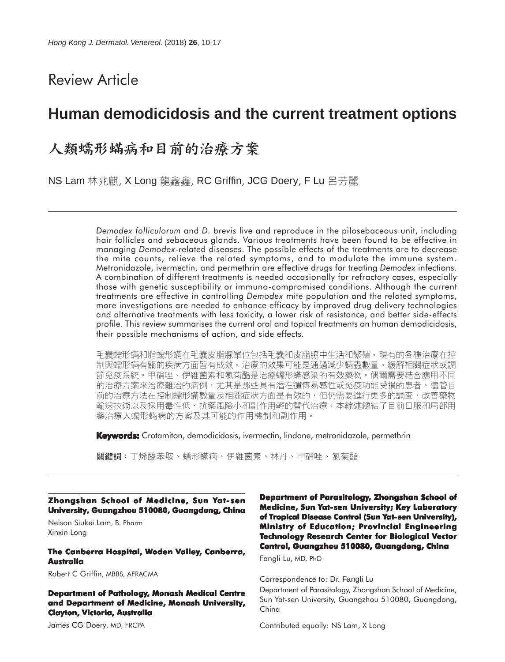# Review Article

# **Human demodicidosis and the current treatment options**

# 人類蠕形蟎病和目前的治療方案

NS Lam 林兆麒, X Long 龍鑫鑫, RC Griffin, JCG Doery, F Lu 呂芳麗

*Demodex folliculorum* and *D. brevis* live and reproduce in the pilosebaceous unit, including hair follicles and sebaceous glands. Various treatments have been found to be effective in managing *Demodex*-related diseases. The possible effects of the treatments are to decrease the mite counts, relieve the related symptoms, and to modulate the immune system. Metronidazole, ivermectin, and permethrin are effective drugs for treating *Demodex* infections. A combination of different treatments is needed occasionally for refractory cases, especially those with genetic susceptibility or immuno-compromised conditions. Although the current treatments are effective in controlling *Demodex* mite population and the related symptoms, more investigations are needed to enhance efficacy by improved drug delivery technologies and alternative treatments with less toxicity, a lower risk of resistance, and better side-effects profile. This review summarises the current oral and topical treatments on human demodicidosis, their possible mechanisms of action, and side effects.

毛囊蠕形蟎和脂蠕形蟎在毛囊皮脂腺單位包括毛囊和皮脂腺中生活和繁殖。現有的各種治療在控 制與蠕形蟎有關的疾病方面皆有成效。治療的效果可能是通過減少蟎蟲數量、緩解相關症狀或調 節免疫系統。甲硝唑、伊維菌素和氯菊酯是治療蠕形蟎感染的有效藥物。偶爾需要結合應用不同 的治療方案來治療難治的病例,尤其是那些具有潛在遺傳易感性或免疫功能受損的患者。儘管目 前的治療方法在控制蠕形蟎數量及相關症狀方面是有效的,但仍需要進行更多的調查,改善藥物 輸送技術以及採用毒性低、抗藥風險小和副作用輕的替代治療。本綜述總結了目前口服和局部用 藥治療人蠕形蟎病的方案及其可能的作用機制和副作用。

**Keywords:** Crotamiton, demodicidosis, ivermectin, lindane, metronidazole, permethrin

關鍵詞:丅烯醯苯胺、蠕形蟎病、伊維菌素、林丹、甲硝唑、氯菊酯

**Zhongshan School of Medicine, Sun Yat-sen University, Guangzhou 510080, Guangdong, China**

Nelson Siukei Lam, B. Pharm Xinxin Long

#### **The Canberra Hospital, Woden Valley, Canberra, Australia**

Robert C Griffin, MBBS, AFRACMA

**Department of Pathology, Monash Medical Centre and Department of Medicine, Monash University, Clayton, Victoria, Australia**

James CG Doery, MD, FRCPA

**Department of Parasitology, Zhongshan School of Medicine, Sun Yat-sen University; Key Laboratory of Tropical Disease Control (Sun Yat-sen University), Ministry of Education; Provincial Engineering Technology Research Center for Biological Vector Control, Guangzhou 510080, Guangdong, China**

Fangli Lu, MD, PhD

Correspondence to: Dr. Fangli Lu

Department of Parasitology, Zhongshan School of Medicine, Sun Yat-sen University, Guangzhou 510080, Guangdong, China

Contributed equally: NS Lam, X Long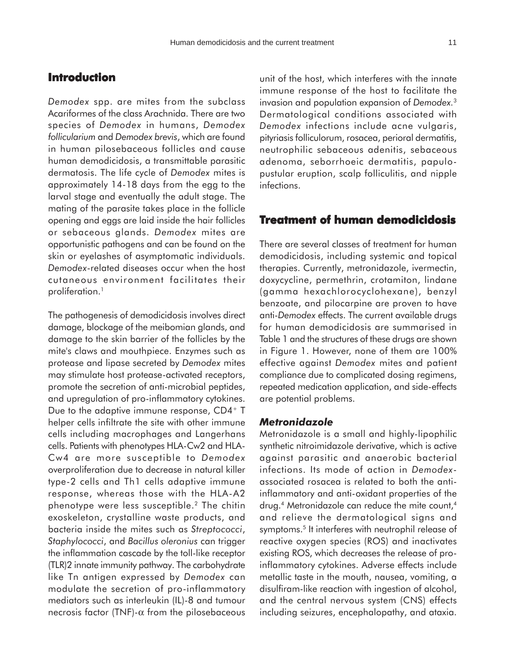# **Introduction**

*Demodex* spp. are mites from the subclass Acariformes of the class Arachnida. There are two species of *Demodex* in humans, *Demodex follicularium* and *Demodex brevis*, which are found in human pilosebaceous follicles and cause human demodicidosis, a transmittable parasitic dermatosis. The life cycle of *Demodex* mites is approximately 14-18 days from the egg to the larval stage and eventually the adult stage. The mating of the parasite takes place in the follicle opening and eggs are laid inside the hair follicles or sebaceous glands. *Demodex* mites are opportunistic pathogens and can be found on the skin or eyelashes of asymptomatic individuals. *Demodex*-related diseases occur when the host cutaneous environment facilitates their proliferation.<sup>1</sup>

The pathogenesis of demodicidosis involves direct damage, blockage of the meibomian glands, and damage to the skin barrier of the follicles by the mite's claws and mouthpiece. Enzymes such as protease and lipase secreted by *Demodex* mites may stimulate host protease-activated receptors, promote the secretion of anti-microbial peptides, and upregulation of pro-inflammatory cytokines. Due to the adaptive immune response, CD4+ T helper cells infiltrate the site with other immune cells including macrophages and Langerhans cells. Patients with phenotypes HLA-Cw2 and HLA-Cw4 are more susceptible to *Demodex* overproliferation due to decrease in natural killer type-2 cells and Th1 cells adaptive immune response, whereas those with the HLA-A2 phenotype were less susceptible.2 The chitin exoskeleton, crystalline waste products, and bacteria inside the mites such as *Streptococci*, *Staphylococci*, and *Bacillus oleronius* can trigger the inflammation cascade by the toll-like receptor (TLR)2 innate immunity pathway. The carbohydrate like Tn antigen expressed by *Demodex* can modulate the secretion of pro-inflammatory mediators such as interleukin (IL)-8 and tumour necrosis factor (TNF)- $\alpha$  from the pilosebaceous

unit of the host, which interferes with the innate immune response of the host to facilitate the invasion and population expansion of *Demodex.*<sup>3</sup> Dermatological conditions associated with *Demodex* infections include acne vulgaris, pityriasis folliculorum, rosacea, perioral dermatitis, neutrophilic sebaceous adenitis, sebaceous adenoma, seborrhoeic dermatitis, papulopustular eruption, scalp folliculitis, and nipple infections.

# **Treatment of human demodicidosis**

There are several classes of treatment for human demodicidosis, including systemic and topical therapies. Currently, metronidazole, ivermectin, doxycycline, permethrin, crotamiton, lindane (gamma hexachlorocyclohexane), benzyl benzoate, and pilocarpine are proven to have anti-*Demodex* effects. The current available drugs for human demodicidosis are summarised in Table 1 and the structures of these drugs are shown in Figure 1. However, none of them are 100% effective against *Demodex* mites and patient compliance due to complicated dosing regimens, repeated medication application, and side-effects are potential problems.

#### *Metronidazole*

Metronidazole is a small and highly-lipophilic synthetic nitroimidazole derivative, which is active against parasitic and anaerobic bacterial infections. Its mode of action in *Demodex*associated rosacea is related to both the antiinflammatory and anti-oxidant properties of the drug.<sup>4</sup> Metronidazole can reduce the mite count,<sup>4</sup> and relieve the dermatological signs and symptoms.<sup>5</sup> It interferes with neutrophil release of reactive oxygen species (ROS) and inactivates existing ROS, which decreases the release of proinflammatory cytokines. Adverse effects include metallic taste in the mouth, nausea, vomiting, a disulfiram-like reaction with ingestion of alcohol, and the central nervous system (CNS) effects including seizures, encephalopathy, and ataxia.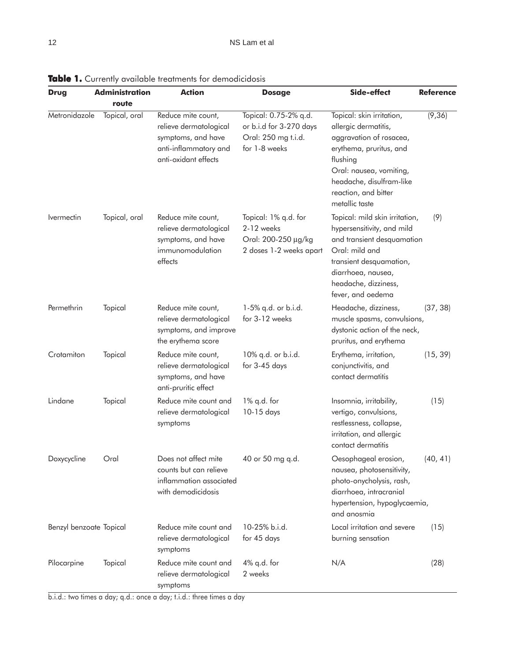| <b>Drug</b>                     | <b>Administration</b> | <b>Action</b>                                                                                                       | <b>Dosage</b>                                                                            | Side-effect                                                                                                                                                                                                          | <b>Reference</b> |
|---------------------------------|-----------------------|---------------------------------------------------------------------------------------------------------------------|------------------------------------------------------------------------------------------|----------------------------------------------------------------------------------------------------------------------------------------------------------------------------------------------------------------------|------------------|
|                                 | route                 |                                                                                                                     |                                                                                          |                                                                                                                                                                                                                      |                  |
| Metronidazole                   | Topical, oral         | Reduce mite count,<br>relieve dermatological<br>symptoms, and have<br>anti-inflammatory and<br>anti-oxidant effects | Topical: 0.75-2% q.d.<br>or b.i.d for 3-270 days<br>Oral: 250 mg t.i.d.<br>for 1-8 weeks | Topical: skin irritation,<br>allergic dermatitis,<br>aggravation of rosacea,<br>erythema, pruritus, and<br>flushing<br>Oral: nausea, vomiting,<br>headache, disulfram-like<br>reaction, and bitter<br>metallic taste | (9, 36)          |
| <i><u><b>Ivermectin</b></u></i> | Topical, oral         | Reduce mite count,<br>relieve dermatological<br>symptoms, and have<br>immunomodulation<br>effects                   | Topical: 1% q.d. for<br>2-12 weeks<br>Oral: 200-250 µg/kg<br>2 doses 1-2 weeks apart     | Topical: mild skin irritation,<br>hypersensitivity, and mild<br>and transient desquamation<br>Oral: mild and<br>transient desquamation,<br>diarrhoea, nausea,<br>headache, dizziness,<br>fever, and oedema           | (9)              |
| Permethrin                      | Topical               | Reduce mite count,<br>relieve dermatological<br>symptoms, and improve<br>the erythema score                         | 1-5% q.d. or b.i.d.<br>for 3-12 weeks                                                    | Headache, dizziness,<br>muscle spasms, convulsions,<br>dystonic action of the neck,<br>pruritus, and erythema                                                                                                        | (37, 38)         |
| Crotamiton                      | Topical               | Reduce mite count,<br>relieve dermatological<br>symptoms, and have<br>anti-pruritic effect                          | 10% q.d. or b.i.d.<br>for 3-45 days                                                      | Erythema, irritation,<br>conjunctivitis, and<br>contact dermatitis                                                                                                                                                   | (15, 39)         |
| Lindane                         | Topical               | Reduce mite count and<br>relieve dermatological<br>symptoms                                                         | 1% q.d. for<br>10-15 days                                                                | Insomnia, irritability,<br>vertigo, convulsions,<br>restlessness, collapse,<br>irritation, and allergic<br>contact dermatitis                                                                                        | (15)             |
| Doxycycline                     | Oral                  | Does not affect mite<br>counts but can relieve<br>inflammation associated<br>with demodicidosis                     | 40 or 50 mg q.d.                                                                         | Oesophageal erosion,<br>nausea, photosensitivity,<br>photo-onycholysis, rash,<br>diarrhoea, intracranial<br>hypertension, hypoglycaemia,<br>and anosmia                                                              | (40, 41)         |
| Benzyl benzoate Topical         |                       | Reduce mite count and<br>relieve dermatological<br>symptoms                                                         | 10-25% b.i.d.<br>for 45 days                                                             | Local irritation and severe<br>burning sensation                                                                                                                                                                     | (15)             |
| Pilocarpine                     | Topical               | Reduce mite count and<br>relieve dermatological<br>symptoms                                                         | 4% q.d. for<br>2 weeks                                                                   | N/A                                                                                                                                                                                                                  | (28)             |

Table 1. Currently available treatments for demodicidosis

b.i.d.: two times a day; q.d.: once a day; t.i.d.: three times a day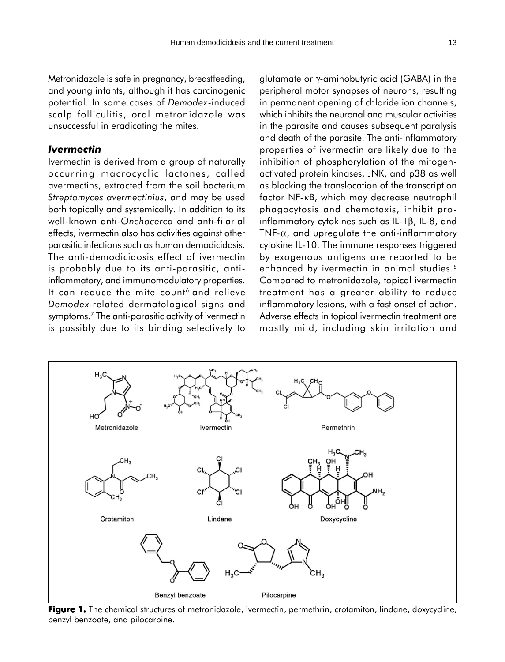Metronidazole is safe in pregnancy, breastfeeding, and young infants, although it has carcinogenic potential. In some cases of *Demodex*-induced scalp folliculitis, oral metronidazole was unsuccessful in eradicating the mites.

## *Ivermectin*

Ivermectin is derived from a group of naturally occurring macrocyclic lactones, called avermectins, extracted from the soil bacterium *Streptomyces avermectinius*, and may be used both topically and systemically. In addition to its well-known anti-*Onchocerca* and anti-filarial effects, ivermectin also has activities against other parasitic infections such as human demodicidosis. The anti-demodicidosis effect of ivermectin is probably due to its anti-parasitic, antiinflammatory, and immunomodulatory properties. It can reduce the mite count<sup>6</sup> and relieve *Demodex-*related dermatological signs and symptoms.<sup>7</sup> The anti-parasitic activity of ivermectin is possibly due to its binding selectively to glutamate or γ-aminobutyric acid (GABA) in the peripheral motor synapses of neurons, resulting in permanent opening of chloride ion channels, which inhibits the neuronal and muscular activities in the parasite and causes subsequent paralysis and death of the parasite. The anti-inflammatory properties of ivermectin are likely due to the inhibition of phosphorylation of the mitogenactivated protein kinases, JNK, and p38 as well as blocking the translocation of the transcription factor NF-κB, which may decrease neutrophil phagocytosis and chemotaxis, inhibit proinflammatory cytokines such as IL-1β, IL-8, and TNF- $\alpha$ , and upregulate the anti-inflammatory cytokine IL-10. The immune responses triggered by exogenous antigens are reported to be enhanced by ivermectin in animal studies.<sup>8</sup> Compared to metronidazole, topical ivermectin treatment has a greater ability to reduce inflammatory lesions, with a fast onset of action. Adverse effects in topical ivermectin treatment are mostly mild, including skin irritation and



**Figure 1.** The chemical structures of metronidazole, ivermectin, permethrin, crotamiton, lindane, doxycycline, benzyl benzoate, and pilocarpine.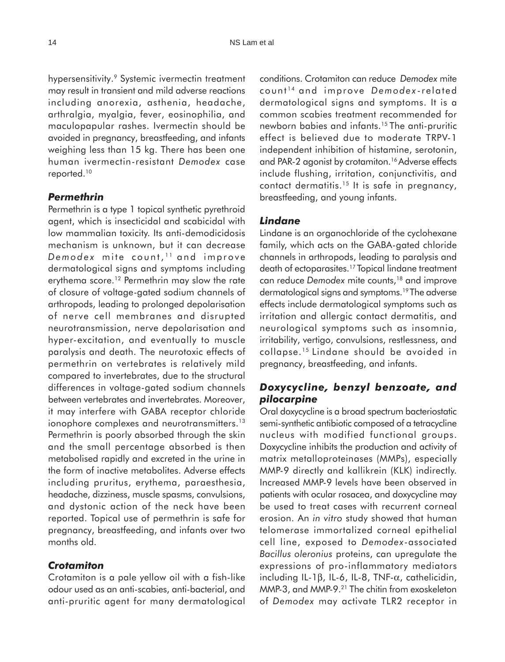hypersensitivity.<sup>9</sup> Systemic ivermectin treatment may result in transient and mild adverse reactions including anorexia, asthenia, headache, arthralgia, myalgia, fever, eosinophilia, and maculopapular rashes. Ivermectin should be avoided in pregnancy, breastfeeding, and infants weighing less than 15 kg. There has been one human ivermectin-resistant *Demodex* case reported.10

### *Permethrin*

Permethrin is a type 1 topical synthetic pyrethroid agent, which is insecticidal and scabicidal with low mammalian toxicity. Its anti-demodicidosis mechanism is unknown, but it can decrease *Demodex* mite count, 11 and improve dermatological signs and symptoms including erythema score.<sup>12</sup> Permethrin may slow the rate of closure of voltage-gated sodium channels of arthropods, leading to prolonged depolarisation of nerve cell membranes and disrupted neurotransmission, nerve depolarisation and hyper-excitation, and eventually to muscle paralysis and death. The neurotoxic effects of permethrin on vertebrates is relatively mild compared to invertebrates, due to the structural differences in voltage-gated sodium channels between vertebrates and invertebrates. Moreover, it may interfere with GABA receptor chloride ionophore complexes and neurotransmitters.<sup>13</sup> Permethrin is poorly absorbed through the skin and the small percentage absorbed is then metabolised rapidly and excreted in the urine in the form of inactive metabolites. Adverse effects including pruritus, erythema, paraesthesia, headache, dizziness, muscle spasms, convulsions, and dystonic action of the neck have been reported. Topical use of permethrin is safe for pregnancy, breastfeeding, and infants over two months old.

## *Crotamiton*

Crotamiton is a pale yellow oil with a fish-like odour used as an anti-scabies, anti-bacterial, and anti-pruritic agent for many dermatological conditions. Crotamiton can reduce *Demodex* mite count 14 and improve *Demodex* -related dermatological signs and symptoms. It is a common scabies treatment recommended for newborn babies and infants.15 The anti-pruritic effect is believed due to moderate TRPV-1 independent inhibition of histamine, serotonin, and PAR-2 agonist by crotamiton.<sup>16</sup> Adverse effects include flushing, irritation, conjunctivitis, and contact dermatitis.15 It is safe in pregnancy, breastfeeding, and young infants.

## *Lindane*

Lindane is an organochloride of the cyclohexane family, which acts on the GABA-gated chloride channels in arthropods, leading to paralysis and death of ectoparasites.17 Topical lindane treatment can reduce *Demodex* mite counts,<sup>18</sup> and improve dermatological signs and symptoms.19 The adverse effects include dermatological symptoms such as irritation and allergic contact dermatitis, and neurological symptoms such as insomnia, irritability, vertigo, convulsions, restlessness, and collapse.15 Lindane should be avoided in pregnancy, breastfeeding, and infants.

# *Doxycycline, benzyl benzoate, and pilocarpine*

Oral doxycycline is a broad spectrum bacteriostatic semi-synthetic antibiotic composed of a tetracycline nucleus with modified functional groups. Doxycycline inhibits the production and activity of matrix metalloproteinases (MMPs), especially MMP-9 directly and kallikrein (KLK) indirectly. Increased MMP-9 levels have been observed in patients with ocular rosacea, and doxycycline may be used to treat cases with recurrent corneal erosion. An *in vitro* study showed that human telomerase immortalized corneal epithelial cell line, exposed to *Demodex*-associated *Bacillus oleronius* proteins, can upregulate the expressions of pro-inflammatory mediators including IL-1β, IL-6, IL-8, TNF-α, cathelicidin, MMP-3, and MMP-9.<sup>21</sup> The chitin from exoskeleton of *Demodex* may activate TLR2 receptor in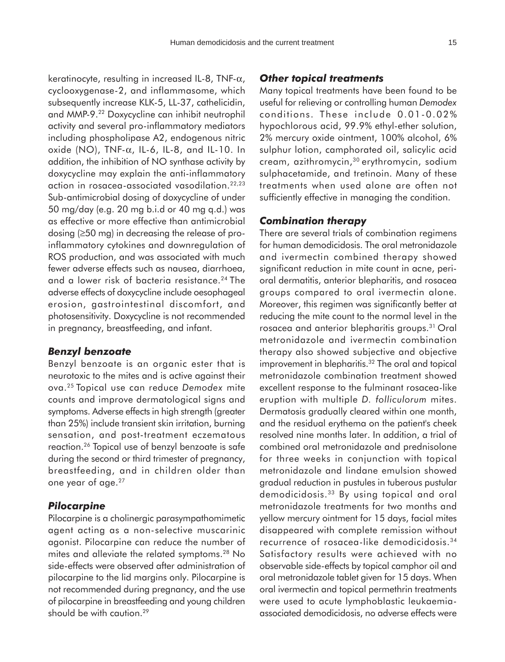keratinocyte, resulting in increased IL-8, TNF- $\alpha$ , cyclooxygenase-2, and inflammasome, which subsequently increase KLK-5, LL-37, cathelicidin, and MMP-9.22 Doxycycline can inhibit neutrophil activity and several pro-inflammatory mediators including phospholipase A2, endogenous nitric oxide (NO), TNF-α, IL-6, IL-8, and IL-10. In addition, the inhibition of NO synthase activity by doxycycline may explain the anti-inflammatory action in rosacea-associated vasodilation.22,23 Sub-antimicrobial dosing of doxycycline of under 50 mg/day (e.g. 20 mg b.i.d or 40 mg q.d.) was as effective or more effective than antimicrobial dosing (≥50 mg) in decreasing the release of proinflammatory cytokines and downregulation of ROS production, and was associated with much fewer adverse effects such as nausea, diarrhoea, and a lower risk of bacteria resistance.<sup>24</sup> The adverse effects of doxycycline include oesophageal erosion, gastrointestinal discomfort, and photosensitivity. Doxycycline is not recommended in pregnancy, breastfeeding, and infant.

#### *Benzyl benzoate*

Benzyl benzoate is an organic ester that is neurotoxic to the mites and is active against their ova.25 Topical use can reduce *Demodex* mite counts and improve dermatological signs and symptoms. Adverse effects in high strength (greater than 25%) include transient skin irritation, burning sensation, and post-treatment eczematous reaction.26 Topical use of benzyl benzoate is safe during the second or third trimester of pregnancy, breastfeeding, and in children older than one year of age.<sup>27</sup>

#### *Pilocarpine*

Pilocarpine is a cholinergic parasympathomimetic agent acting as a non-selective muscarinic agonist. Pilocarpine can reduce the number of mites and alleviate the related symptoms.28 No side-effects were observed after administration of pilocarpine to the lid margins only. Pilocarpine is not recommended during pregnancy, and the use of pilocarpine in breastfeeding and young children should be with caution.<sup>29</sup>

### *Other topical treatments*

Many topical treatments have been found to be useful for relieving or controlling human *Demodex* conditions. These include 0.01-0.02% hypochlorous acid, 99.9% ethyl-ether solution, 2% mercury oxide ointment, 100% alcohol, 6% sulphur lotion, camphorated oil, salicylic acid cream, azithromycin,30 erythromycin, sodium sulphacetamide, and tretinoin. Many of these treatments when used alone are often not sufficiently effective in managing the condition.

#### *Combination therapy*

There are several trials of combination regimens for human demodicidosis. The oral metronidazole and ivermectin combined therapy showed significant reduction in mite count in acne, perioral dermatitis, anterior blepharitis, and rosacea groups compared to oral ivermectin alone. Moreover, this regimen was significantly better at reducing the mite count to the normal level in the rosacea and anterior blepharitis groups.31 Oral metronidazole and ivermectin combination therapy also showed subjective and objective improvement in blepharitis.<sup>32</sup> The oral and topical metronidazole combination treatment showed excellent response to the fulminant rosacea-like eruption with multiple *D. folliculorum* mites. Dermatosis gradually cleared within one month, and the residual erythema on the patient's cheek resolved nine months later. In addition, a trial of combined oral metronidazole and prednisolone for three weeks in conjunction with topical metronidazole and lindane emulsion showed gradual reduction in pustules in tuberous pustular demodicidosis.33 By using topical and oral metronidazole treatments for two months and yellow mercury ointment for 15 days, facial mites disappeared with complete remission without recurrence of rosacea-like demodicidosis.34 Satisfactory results were achieved with no observable side-effects by topical camphor oil and oral metronidazole tablet given for 15 days. When oral ivermectin and topical permethrin treatments were used to acute lymphoblastic leukaemiaassociated demodicidosis, no adverse effects were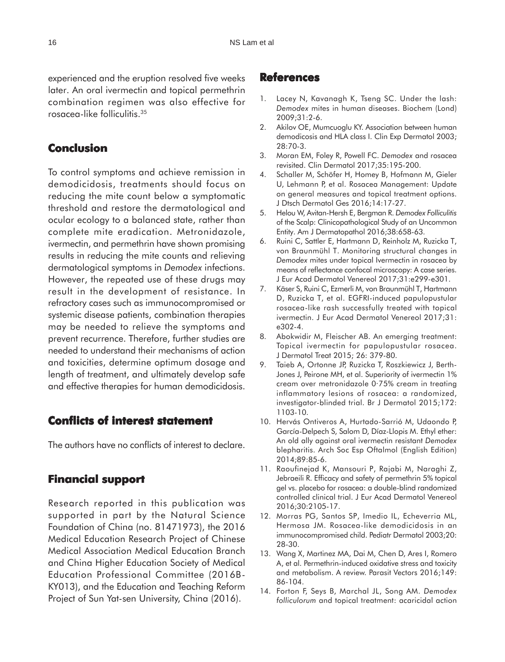experienced and the eruption resolved five weeks later. An oral ivermectin and topical permethrin combination regimen was also effective for rosacea-like folliculitis.35

## **Conclusion**

To control symptoms and achieve remission in demodicidosis, treatments should focus on reducing the mite count below a symptomatic threshold and restore the dermatological and ocular ecology to a balanced state, rather than complete mite eradication. Metronidazole, ivermectin, and permethrin have shown promising results in reducing the mite counts and relieving dermatological symptoms in *Demodex* infections. However, the repeated use of these drugs may result in the development of resistance. In refractory cases such as immunocompromised or systemic disease patients, combination therapies may be needed to relieve the symptoms and prevent recurrence. Therefore, further studies are needed to understand their mechanisms of action and toxicities, determine optimum dosage and length of treatment, and ultimately develop safe and effective therapies for human demodicidosis.

## **Conflicts of interest statement interest statement**

The authors have no conflicts of interest to declare.

## **Financial support Financial support**

Research reported in this publication was supported in part by the Natural Science Foundation of China (no. 81471973), the 2016 Medical Education Research Project of Chinese Medical Association Medical Education Branch and China Higher Education Society of Medical Education Professional Committee (2016B-KY013), and the Education and Teaching Reform Project of Sun Yat-sen University, China (2016).

### **References**

- 1. Lacey N, Kavanagh K, Tseng SC. Under the lash: *Demodex* mites in human diseases. Biochem (Lond) 2009;31:2-6.
- 2. Akilov OE, Mumcuoglu KY. Association between human demodicosis and HLA class I. Clin Exp Dermatol 2003; 28:70-3.
- 3. Moran EM, Foley R, Powell FC. *Demodex* and rosacea revisited. Clin Dermatol 2017;35:195-200.
- 4. Schaller M, Schöfer H, Homey B, Hofmann M, Gieler U, Lehmann P, et al. Rosacea Management: Update on general measures and topical treatment options. J Dtsch Dermatol Ges 2016;14:17-27.
- 5. Helou W, Avitan-Hersh E, Bergman R. *Demodex Folliculitis* of the Scalp: Clinicopathological Study of an Uncommon Entity. Am J Dermatopathol 2016;38:658-63.
- 6. Ruini C, Sattler E, Hartmann D, Reinholz M, Ruzicka T, von Braunmühl T. Monitoring structural changes in *Demodex* mites under topical Ivermectin in rosacea by means of reflectance confocal microscopy: A case series. J Eur Acad Dermatol Venereol 2017;31:e299-e301.
- 7. Käser S, Ruini C, Ezmerli M, von Braunmühl T, Hartmann D, Ruzicka T, et al. EGFRI-induced papulopustular rosacea-like rash successfully treated with topical ivermectin. J Eur Acad Dermatol Venereol 2017;31: e302-4.
- 8. Abokwidir M, Fleischer AB. An emerging treatment: Topical ivermectin for papulopustular rosacea. J Dermatol Treat 2015; 26: 379-80.
- 9. Taieb A, Ortonne JP, Ruzicka T, Roszkiewicz J, Berth-Jones J, Peirone MH, et al. Superiority of ivermectin 1% cream over metronidazole 0·75% cream in treating inflammatory lesions of rosacea: a randomized, investigator-blinded trial. Br J Dermatol 2015;172: 1103-10.
- 10. Hervás Ontiveros A, Hurtado-Sarrió M, Udaondo P, García-Delpech S, Salom D, Díaz-Llopis M. Ethyl ether: An old ally against oral ivermectin resistant *Demodex* blepharitis. Arch Soc Esp Oftalmol (English Edition) 2014;89:85-6.
- 11. Raoufinejad K, Mansouri P, Rajabi M, Naraghi Z, Jebraeili R. Efficacy and safety of permethrin 5% topical gel vs. placebo for rosacea: a double-blind randomized controlled clinical trial. J Eur Acad Dermatol Venereol 2016;30:2105-17.
- 12. Morras PG, Santos SP, Imedio IL, Echeverria ML, Hermosa JM. Rosacea-like demodicidosis in an immunocompromised child. Pediatr Dermatol 2003;20: 28-30.
- 13. Wang X, Martinez MA, Dai M, Chen D, Ares I, Romero A, et al. Permethrin-induced oxidative stress and toxicity and metabolism. A review. Parasit Vectors 2016;149: 86-104.
- 14. Forton F, Seys B, Marchal JL, Song AM. *Demodex folliculorum* and topical treatment: acaricidal action